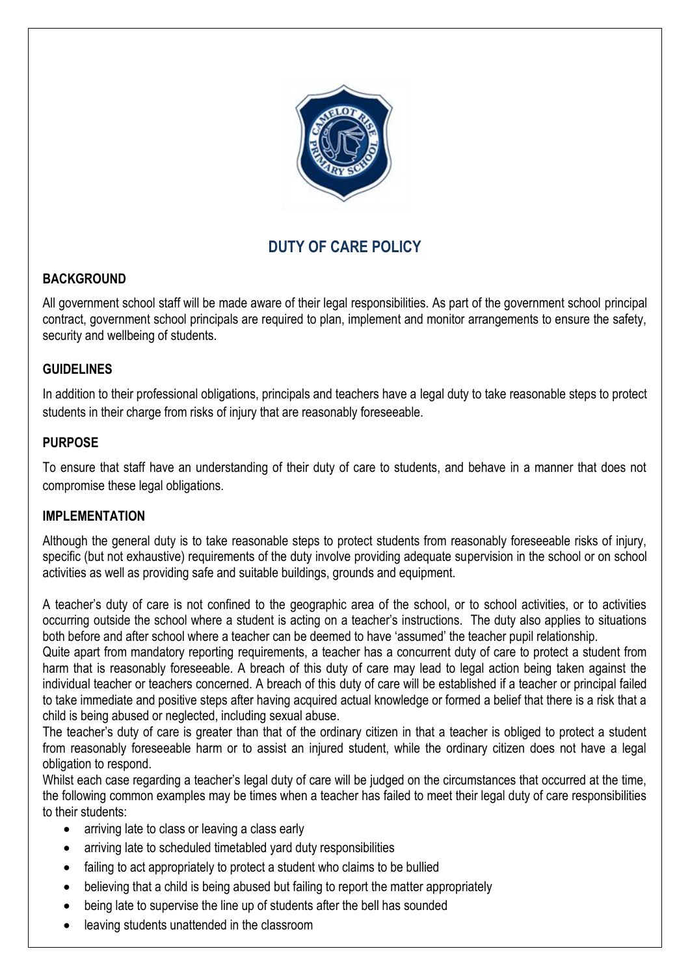

# **DUTY OF CARE POLICY**

## **BACKGROUND**

All government school staff will be made aware of their legal responsibilities. As part of the government school principal contract, government school principals are required to plan, implement and monitor arrangements to ensure the safety, security and wellbeing of students.

## **GUIDELINES**

In addition to their professional obligations, principals and teachers have a legal duty to take reasonable steps to protect students in their charge from risks of injury that are reasonably foreseeable.

## **PURPOSE**

To ensure that staff have an understanding of their duty of care to students, and behave in a manner that does not compromise these legal obligations.

## **IMPLEMENTATION**

Although the general duty is to take reasonable steps to protect students from reasonably foreseeable risks of injury, specific (but not exhaustive) requirements of the duty involve providing adequate supervision in the school or on school activities as well as providing safe and suitable buildings, grounds and equipment.

A teacher's duty of care is not confined to the geographic area of the school, or to school activities, or to activities occurring outside the school where a student is acting on a teacher's instructions. The duty also applies to situations both before and after school where a teacher can be deemed to have 'assumed' the teacher pupil relationship.

Quite apart from mandatory reporting requirements, a teacher has a concurrent duty of care to protect a student from harm that is reasonably foreseeable. A breach of this duty of care may lead to legal action being taken against the individual teacher or teachers concerned. A breach of this duty of care will be established if a teacher or principal failed to take immediate and positive steps after having acquired actual knowledge or formed a belief that there is a risk that a child is being abused or neglected, including sexual abuse.

The teacher's duty of care is greater than that of the ordinary citizen in that a teacher is obliged to protect a student from reasonably foreseeable harm or to assist an injured student, while the ordinary citizen does not have a legal obligation to respond.

Whilst each case regarding a teacher's legal duty of care will be judged on the circumstances that occurred at the time, the following common examples may be times when a teacher has failed to meet their legal duty of care responsibilities to their students:

- arriving late to class or leaving a class early
- arriving late to scheduled timetabled yard duty responsibilities
- failing to act appropriately to protect a student who claims to be bullied
- believing that a child is being abused but failing to report the matter appropriately
- being late to supervise the line up of students after the bell has sounded
- leaving students unattended in the classroom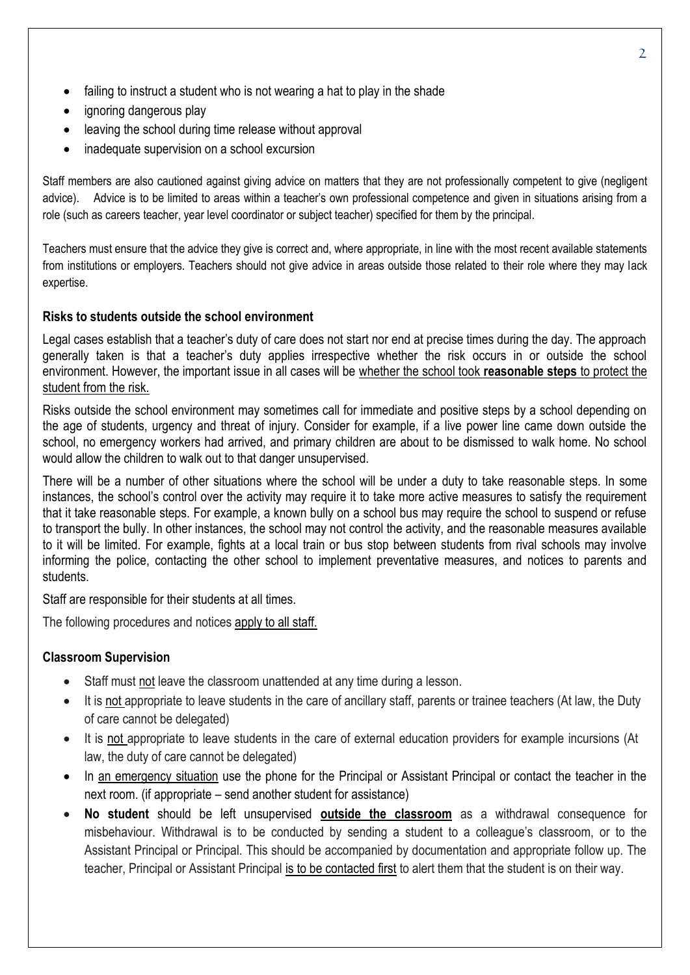- failing to instruct a student who is not wearing a hat to play in the shade
- ignoring dangerous play
- leaving the school during time release without approval
- inadequate supervision on a school excursion

Staff members are also cautioned against giving advice on matters that they are not professionally competent to give (negligent advice). Advice is to be limited to areas within a teacher's own professional competence and given in situations arising from a role (such as careers teacher, year level coordinator or subject teacher) specified for them by the principal.

Teachers must ensure that the advice they give is correct and, where appropriate, in line with the most recent available statements from institutions or employers. Teachers should not give advice in areas outside those related to their role where they may lack expertise.

#### **Risks to students outside the school environment**

Legal cases establish that a teacher's duty of care does not start nor end at precise times during the day. The approach generally taken is that a teacher's duty applies irrespective whether the risk occurs in or outside the school environment. However, the important issue in all cases will be whether the school took **reasonable steps** to protect the student from the risk.

Risks outside the school environment may sometimes call for immediate and positive steps by a school depending on the age of students, urgency and threat of injury. Consider for example, if a live power line came down outside the school, no emergency workers had arrived, and primary children are about to be dismissed to walk home. No school would allow the children to walk out to that danger unsupervised.

There will be a number of other situations where the school will be under a duty to take reasonable steps. In some instances, the school's control over the activity may require it to take more active measures to satisfy the requirement that it take reasonable steps. For example, a known bully on a school bus may require the school to suspend or refuse to transport the bully. In other instances, the school may not control the activity, and the reasonable measures available to it will be limited. For example, fights at a local train or bus stop between students from rival schools may involve informing the police, contacting the other school to implement preventative measures, and notices to parents and students.

Staff are responsible for their students at all times.

The following procedures and notices apply to all staff.

#### **Classroom Supervision**

- Staff must not leave the classroom unattended at any time during a lesson.
- It is not appropriate to leave students in the care of ancillary staff, parents or trainee teachers (At law, the Duty of care cannot be delegated)
- It is not appropriate to leave students in the care of external education providers for example incursions (At law, the duty of care cannot be delegated)
- In an emergency situation use the phone for the Principal or Assistant Principal or contact the teacher in the next room. (if appropriate – send another student for assistance)
- **No student** should be left unsupervised **outside the classroom** as a withdrawal consequence for misbehaviour. Withdrawal is to be conducted by sending a student to a colleague's classroom, or to the Assistant Principal or Principal. This should be accompanied by documentation and appropriate follow up. The teacher, Principal or Assistant Principal is to be contacted first to alert them that the student is on their way.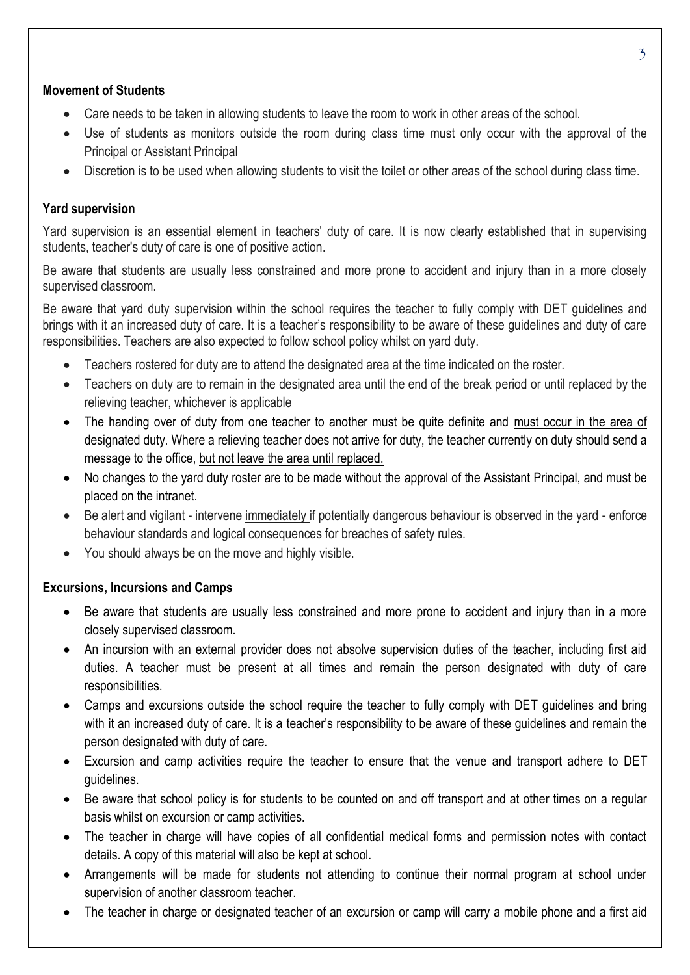#### **Movement of Students**

- Care needs to be taken in allowing students to leave the room to work in other areas of the school.
- Use of students as monitors outside the room during class time must only occur with the approval of the Principal or Assistant Principal
- Discretion is to be used when allowing students to visit the toilet or other areas of the school during class time.

### **Yard supervision**

Yard supervision is an essential element in teachers' duty of care. It is now clearly established that in supervising students, teacher's duty of care is one of positive action.

Be aware that students are usually less constrained and more prone to accident and injury than in a more closely supervised classroom.

Be aware that yard duty supervision within the school requires the teacher to fully comply with DET guidelines and brings with it an increased duty of care. It is a teacher's responsibility to be aware of these guidelines and duty of care responsibilities. Teachers are also expected to follow school policy whilst on yard duty.

- Teachers rostered for duty are to attend the designated area at the time indicated on the roster.
- Teachers on duty are to remain in the designated area until the end of the break period or until replaced by the relieving teacher, whichever is applicable
- The handing over of duty from one teacher to another must be quite definite and must occur in the area of designated duty. Where a relieving teacher does not arrive for duty, the teacher currently on duty should send a message to the office, but not leave the area until replaced.
- No changes to the yard duty roster are to be made without the approval of the Assistant Principal, and must be placed on the intranet.
- Be alert and vigilant intervene immediately if potentially dangerous behaviour is observed in the yard enforce behaviour standards and logical consequences for breaches of safety rules.
- You should always be on the move and highly visible.

#### **Excursions, Incursions and Camps**

- Be aware that students are usually less constrained and more prone to accident and injury than in a more closely supervised classroom.
- An incursion with an external provider does not absolve supervision duties of the teacher, including first aid duties. A teacher must be present at all times and remain the person designated with duty of care responsibilities.
- Camps and excursions outside the school require the teacher to fully comply with DET guidelines and bring with it an increased duty of care. It is a teacher's responsibility to be aware of these guidelines and remain the person designated with duty of care.
- Excursion and camp activities require the teacher to ensure that the venue and transport adhere to DET guidelines.
- Be aware that school policy is for students to be counted on and off transport and at other times on a regular basis whilst on excursion or camp activities.
- The teacher in charge will have copies of all confidential medical forms and permission notes with contact details. A copy of this material will also be kept at school.
- Arrangements will be made for students not attending to continue their normal program at school under supervision of another classroom teacher.
- The teacher in charge or designated teacher of an excursion or camp will carry a mobile phone and a first aid